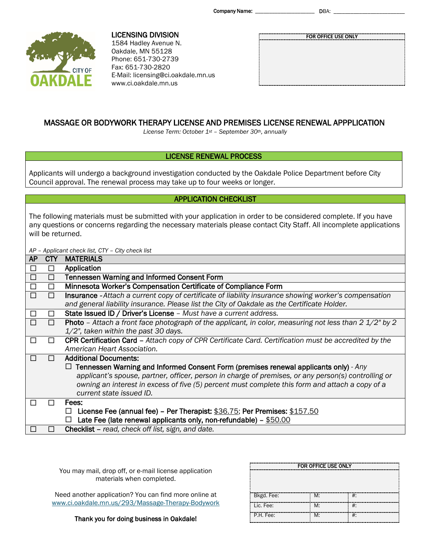Company Name: \_\_\_\_\_\_\_\_\_\_\_\_\_\_\_\_\_\_\_\_\_ DBA: \_\_\_\_\_\_\_\_\_\_\_\_\_\_\_\_\_\_\_\_\_\_\_\_\_



LICENSING DIVISION 1584 Hadley Avenue N. Oakdale, MN 55128 Phone: 651-730-2739 Fax: 651-730-2820 E-Mail: licensing@ci.oakdale.mn.us www.ci.oakdale.mn.us

|  |  | FOR OFFICE USE ONLY |  |  |
|--|--|---------------------|--|--|
|  |  |                     |  |  |
|  |  |                     |  |  |
|  |  |                     |  |  |
|  |  |                     |  |  |
|  |  |                     |  |  |
|  |  |                     |  |  |

# MASSAGE OR BODYWORK THERAPY LICENSE AND PREMISES LICENSE RENEWAL APPPLICATION

*License Term: October 1st – September 30th, annually* 

# LICENSE RENEWAL PROCESS

Applicants will undergo a background investigation conducted by the Oakdale Police Department before City Council approval. The renewal process may take up to four weeks or longer.

# APPLICATION CHECKLIST

The following materials must be submitted with your application in order to be considered complete. If you have any questions or concerns regarding the necessary materials please contact City Staff. All incomplete applications will be returned.

*AP – Applicant check list, CTY – City check list*

| <b>AP</b> | <b>CTY</b>     | <b>MATERIALS</b>                                                                                                        |
|-----------|----------------|-------------------------------------------------------------------------------------------------------------------------|
| □         | $\Box$         | Application                                                                                                             |
| □         | □              | <b>Tennessen Warning and Informed Consent Form</b>                                                                      |
| □         | Ш              | Minnesota Worker's Compensation Certificate of Compliance Form                                                          |
| П         |                | <b>Insurance</b> - Attach a current copy of certificate of liability insurance showing worker's compensation            |
|           |                | and general liability insurance. Please list the City of Oakdale as the Certificate Holder.                             |
| $\Box$    | $\blacksquare$ | State Issued ID / Driver's License - Must have a current address.                                                       |
|           | П              | <b>Photo</b> - Attach a front face photograph of the applicant, in color, measuring not less than $2\frac{1}{2}$ " by 2 |
|           |                | $1/2$ ", taken within the past 30 days.                                                                                 |
|           |                | CPR Certification Card – Attach copy of CPR Certificate Card. Certification must be accredited by the                   |
|           |                | American Heart Association.                                                                                             |
|           |                | <b>Additional Documents:</b>                                                                                            |
|           |                | $\Box$ Tennessen Warning and Informed Consent Form (premises renewal applicants only) - Any                             |
|           |                | applicant's spouse, partner, officer, person in charge of premises, or any person(s) controlling or                     |
|           |                | owning an interest in excess of five (5) percent must complete this form and attach a copy of a                         |
|           |                | current state issued ID.                                                                                                |
|           |                | Fees:                                                                                                                   |
|           |                | License Fee (annual fee) – Per Therapist: \$36.75; Per Premises: \$157.50<br>$\Box$                                     |
|           |                | Late Fee (late renewal applicants only, non-refundable) $-$ \$50.00                                                     |
|           |                | Checklist - read, check off list, sign, and date.                                                                       |

You may mail, drop off, or e-mail license application materials when completed.

Need another application? You can find more online at [www.ci.oakdale.mn.us/293/Massage-Therapy-Bodywork](http://www.ci.oakdale.mn.us/293/Massage-Therapy-Bodywork)

Thank you for doing business in Oakdale!

| FOR OFFICE USE ONLY |    |       |  |  |  |  |
|---------------------|----|-------|--|--|--|--|
|                     |    |       |  |  |  |  |
|                     |    |       |  |  |  |  |
|                     |    |       |  |  |  |  |
| Bkgd. Fee:          | M: | $#$ : |  |  |  |  |
| Lic. Fee:           | M: | $#$ : |  |  |  |  |
| P.H. Fee:           | M: | $#$ : |  |  |  |  |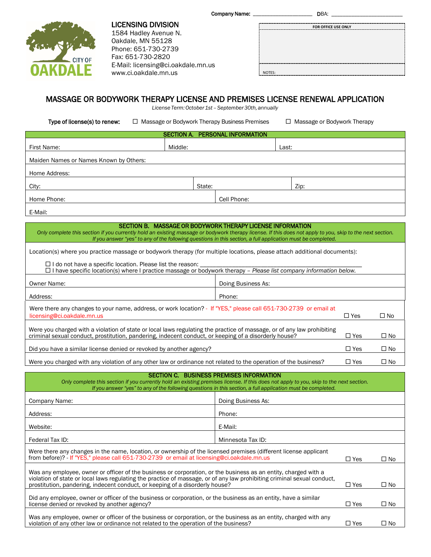Company Name: \_\_\_\_\_\_\_\_\_\_\_\_\_\_\_\_\_\_\_\_\_ DBA: \_\_\_\_\_\_\_\_\_\_\_\_\_\_\_\_\_\_\_\_\_\_\_\_\_



LICENSING DIVISION 1584 Hadley Avenue N. Oakdale, MN 55128 Phone: 651-730-2739 Fax: 651-730-2820 E-Mail: licensing@ci.oakdale.mn.us www.ci.oakdale.mn.us

|        | FOR OFFICE USE ONLY |
|--------|---------------------|
|        |                     |
|        |                     |
|        |                     |
|        |                     |
|        |                     |
| NOTES: |                     |

# MASSAGE OR BODYWORK THERAPY LICENSE AND PREMISES LICENSE RENEWAL APPLICATION

*License Term: October 1st – September 30th, annually*

Type of license(s) to renew:  $\square$  Massage or Bodywork Therapy Business Premises  $\square$  Massage or Bodywork Therapy

| SECTION A. PERSONAL INFORMATION        |         |        |             |       |      |  |
|----------------------------------------|---------|--------|-------------|-------|------|--|
| First Name:                            | Middle: |        |             | Last: |      |  |
| Maiden Names or Names Known by Others: |         |        |             |       |      |  |
| Home Address:                          |         |        |             |       |      |  |
| City:                                  |         | State: |             |       | Zip: |  |
| Home Phone:                            |         |        | Cell Phone: |       |      |  |
| E-Mail:                                |         |        |             |       |      |  |

| SECTION B. MASSAGE OR BODYWORK THERAPY LICENSE INFORMATION<br>Only complete this section if you currently hold an existing massage or bodywork therapy license. If this does not apply to you, skip to the next section.<br>If you answer "yes" to any of the following questions in this section, a full application must be completed.         |                                                                                                                                                                                                                                                                                                            |            |              |  |  |
|--------------------------------------------------------------------------------------------------------------------------------------------------------------------------------------------------------------------------------------------------------------------------------------------------------------------------------------------------|------------------------------------------------------------------------------------------------------------------------------------------------------------------------------------------------------------------------------------------------------------------------------------------------------------|------------|--------------|--|--|
| Location(s) where you practice massage or bodywork therapy (for multiple locations, please attach additional documents):<br>$\Box$ I do not have a specific location. Please list the reason:<br>□ I have specific location(s) where I practice massage or bodywork therapy - Please list company information below.                             |                                                                                                                                                                                                                                                                                                            |            |              |  |  |
|                                                                                                                                                                                                                                                                                                                                                  |                                                                                                                                                                                                                                                                                                            |            |              |  |  |
| Owner Name:                                                                                                                                                                                                                                                                                                                                      | Doing Business As:                                                                                                                                                                                                                                                                                         |            |              |  |  |
| Address:                                                                                                                                                                                                                                                                                                                                         | Phone:                                                                                                                                                                                                                                                                                                     |            |              |  |  |
| Were there any changes to your name, address, or work location? - If "YES," please call 651-730-2739 or email at<br>licensing@ci.oakdale.mn.us                                                                                                                                                                                                   |                                                                                                                                                                                                                                                                                                            | $\Box$ Yes | $\square$ No |  |  |
| Were you charged with a violation of state or local laws regulating the practice of massage, or of any law prohibiting<br>criminal sexual conduct, prostitution, pandering, indecent conduct, or keeping of a disorderly house?                                                                                                                  |                                                                                                                                                                                                                                                                                                            |            | $\square$ No |  |  |
| Did you have a similar license denied or revoked by another agency?                                                                                                                                                                                                                                                                              |                                                                                                                                                                                                                                                                                                            |            | $\square$ No |  |  |
| Were you charged with any violation of any other law or ordinance not related to the operation of the business?                                                                                                                                                                                                                                  |                                                                                                                                                                                                                                                                                                            |            | $\Box$ No    |  |  |
|                                                                                                                                                                                                                                                                                                                                                  | <b>SECTION C. BUSINESS PREMISES INFORMATION</b><br>Only complete this section if you currently hold an existing premises license. If this does not apply to you, skip to the next section.<br>If you answer "yes" to any of the following questions in this section, a full application must be completed. |            |              |  |  |
| Company Name:                                                                                                                                                                                                                                                                                                                                    | Doing Business As:                                                                                                                                                                                                                                                                                         |            |              |  |  |
| Address:                                                                                                                                                                                                                                                                                                                                         | Phone:                                                                                                                                                                                                                                                                                                     |            |              |  |  |
| Website:                                                                                                                                                                                                                                                                                                                                         | E-Mail:                                                                                                                                                                                                                                                                                                    |            |              |  |  |
| Federal Tax ID:                                                                                                                                                                                                                                                                                                                                  | Minnesota Tax ID:                                                                                                                                                                                                                                                                                          |            |              |  |  |
|                                                                                                                                                                                                                                                                                                                                                  | Were there any changes in the name, location, or ownership of the licensed premises (different license applicant<br>from before)? - If "YES," please call 651-730-2739 or email at licensing@ci.oakdale.mn.us<br>$\Box$ Yes<br>□ No                                                                        |            |              |  |  |
| Was any employee, owner or officer of the business or corporation, or the business as an entity, charged with a<br>violation of state or local laws regulating the practice of massage, or of any law prohibiting criminal sexual conduct,<br>prostitution, pandering, indecent conduct, or keeping of a disorderly house?<br>$\Box$ Yes<br>□ No |                                                                                                                                                                                                                                                                                                            |            |              |  |  |
| Did any employee, owner or officer of the business or corporation, or the business as an entity, have a similar<br>license denied or revoked by another agency?                                                                                                                                                                                  |                                                                                                                                                                                                                                                                                                            |            | $\square$ No |  |  |
| Was any employee, owner or officer of the business or corporation, or the business as an entity, charged with any<br>violation of any other law or ordinance not related to the operation of the business?                                                                                                                                       |                                                                                                                                                                                                                                                                                                            | $\Box$ Yes | $\square$ No |  |  |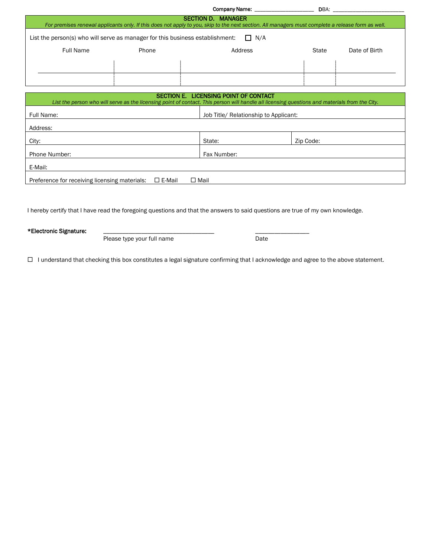|                                                                                                                                                                                |       | Company Name: <u>_________________________________</u>                                                                                         |           | DBA: the contract of the contract of the contract of the contract of the contract of the contract of the contract of the contract of the contract of the contract of the contract of the contract of the contract of the contr |  |  |
|--------------------------------------------------------------------------------------------------------------------------------------------------------------------------------|-------|------------------------------------------------------------------------------------------------------------------------------------------------|-----------|--------------------------------------------------------------------------------------------------------------------------------------------------------------------------------------------------------------------------------|--|--|
| <b>SECTION D. MANAGER</b><br>For premises renewal applicants only. If this does not apply to you, skip to the next section. All managers must complete a release form as well. |       |                                                                                                                                                |           |                                                                                                                                                                                                                                |  |  |
| List the person(s) who will serve as manager for this business establishment:<br>$\Box$ N/A                                                                                    |       |                                                                                                                                                |           |                                                                                                                                                                                                                                |  |  |
| <b>Full Name</b>                                                                                                                                                               | Phone | Address                                                                                                                                        | State     | Date of Birth                                                                                                                                                                                                                  |  |  |
|                                                                                                                                                                                |       |                                                                                                                                                |           |                                                                                                                                                                                                                                |  |  |
|                                                                                                                                                                                |       |                                                                                                                                                |           |                                                                                                                                                                                                                                |  |  |
|                                                                                                                                                                                |       | SECTION E. LICENSING POINT OF CONTACT                                                                                                          |           |                                                                                                                                                                                                                                |  |  |
|                                                                                                                                                                                |       | List the person who will serve as the licensing point of contact. This person will handle all licensing questions and materials from the City. |           |                                                                                                                                                                                                                                |  |  |
| Full Name:                                                                                                                                                                     |       | Job Title/ Relationship to Applicant:                                                                                                          |           |                                                                                                                                                                                                                                |  |  |
| Address:                                                                                                                                                                       |       |                                                                                                                                                |           |                                                                                                                                                                                                                                |  |  |
| City:                                                                                                                                                                          |       | State:                                                                                                                                         | Zip Code: |                                                                                                                                                                                                                                |  |  |
| <b>Phone Number:</b>                                                                                                                                                           |       | Fax Number:                                                                                                                                    |           |                                                                                                                                                                                                                                |  |  |

| Preference for receiving licensing materials: | $\square$ E-Mail | $\square$ Mail |
|-----------------------------------------------|------------------|----------------|

I hereby certify that I have read the foregoing questions and that the answers to said questions are true of my own knowledge.

\*Electronic Signature:

E-Mail:

Please type your full name **Date** Date

I understand that checking this box constitutes a legal signature confirming that I acknowledge and agree to the above statement.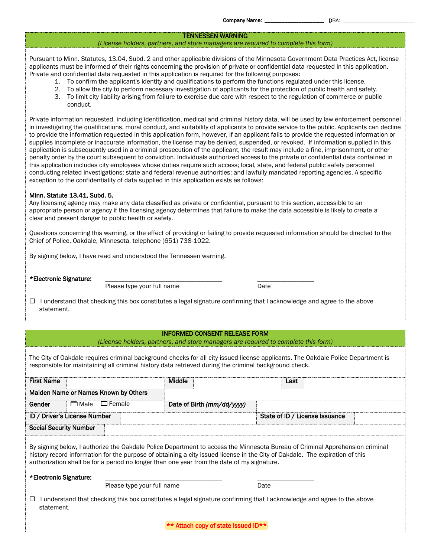### TENNESSEN WARNING

#### *(License holders, partners, and store managers are required to complete this form)*

Pursuant to Minn. Statutes, 13.04, Subd. 2 and other applicable divisions of the Minnesota Government Data Practices Act, license applicants must be informed of their rights concerning the provision of private or confidential data requested in this application. Private and confidential data requested in this application is required for the following purposes:

- 1. To confirm the applicant's identity and qualifications to perform the functions regulated under this license.
- 2. To allow the city to perform necessary investigation of applicants for the protection of public health and safety.
- 3. To limit city liability arising from failure to exercise due care with respect to the regulation of commerce or public conduct.

Private information requested, including identification, medical and criminal history data, will be used by law enforcement personnel in investigating the qualifications, moral conduct, and suitability of applicants to provide service to the public. Applicants can decline to provide the information requested in this application form, however, if an applicant fails to provide the requested information or supplies incomplete or inaccurate information, the license may be denied, suspended, or revoked. If information supplied in this application is subsequently used in a criminal prosecution of the applicant, the result may include a fine, imprisonment, or other penalty order by the court subsequent to conviction. Individuals authorized access to the private or confidential data contained in this application includes city employees whose duties require such access; local, state, and federal public safety personnel conducting related investigations; state and federal revenue authorities; and lawfully mandated reporting agencies. A specific exception to the confidentiality of data supplied in this application exists as follows:

#### Minn. Statute 13.41, Subd. 5.

Any licensing agency may make any data classified as private or confidential, pursuant to this section, accessible to an appropriate person or agency if the licensing agency determines that failure to make the data accessible is likely to create a clear and present danger to public health or safety.

Questions concerning this warning, or the effect of providing or failing to provide requested information should be directed to the Chief of Police, Oakdale, Minnesota, telephone (651) 738-1022.

By signing below, I have read and understood the Tennessen warning.

\*Electronic Signature: <br>Please type your full name and the contract of the plane Please type your full name

 $\Box$  I understand that checking this box constitutes a legal signature confirming that I acknowledge and agree to the above statement.

## INFORMED CONSENT RELEASE FORM

*(License holders, partners, and store managers are required to complete this form)*

The City of Oakdale requires criminal background checks for all city issued license applicants. The Oakdale Police Department is responsible for maintaining all criminal history data retrieved during the criminal background check.

| <b>First Name</b>             |                                                                                                                                                                                                                                                                                                                                                            |                                      | Middle |                            |      | Last |                                |  |
|-------------------------------|------------------------------------------------------------------------------------------------------------------------------------------------------------------------------------------------------------------------------------------------------------------------------------------------------------------------------------------------------------|--------------------------------------|--------|----------------------------|------|------|--------------------------------|--|
|                               |                                                                                                                                                                                                                                                                                                                                                            | Maiden Name or Names Known by Others |        |                            |      |      |                                |  |
| Gender                        | $\square$ Male                                                                                                                                                                                                                                                                                                                                             | $\Box$ Female                        |        | Date of Birth (mm/dd/yyyy) |      |      |                                |  |
| ID / Driver's License Number  |                                                                                                                                                                                                                                                                                                                                                            |                                      |        |                            |      |      | State of ID / License Issuance |  |
| <b>Social Security Number</b> |                                                                                                                                                                                                                                                                                                                                                            |                                      |        |                            |      |      |                                |  |
|                               | By signing below, I authorize the Oakdale Police Department to access the Minnesota Bureau of Criminal Apprehension criminal<br>history record information for the purpose of obtaining a city issued license in the City of Oakdale. The expiration of this<br>authorization shall be for a period no longer than one year from the date of my signature. |                                      |        |                            |      |      |                                |  |
| *Electronic Signature:        |                                                                                                                                                                                                                                                                                                                                                            |                                      |        |                            | Date |      |                                |  |
| Please type your full name    |                                                                                                                                                                                                                                                                                                                                                            |                                      |        |                            |      |      |                                |  |
| ⊔                             | I understand that checking this box constitutes a legal signature confirming that I acknowledge and agree to the above<br>statement.                                                                                                                                                                                                                       |                                      |        |                            |      |      |                                |  |

\*\* Attach copy of state issued ID\*\*